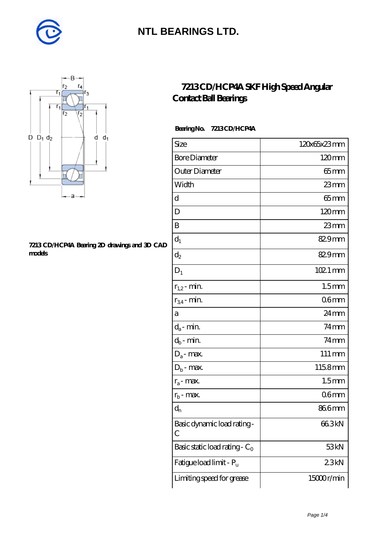



#### **[7213 CD/HCP4A Bearing 2D drawings and 3D CAD](https://m.diabetesfriends.net/pic-590765.html) [models](https://m.diabetesfriends.net/pic-590765.html)**

#### **[7213 CD/HCP4A SKF High Speed Angular](https://m.diabetesfriends.net/skf-bearing/7213-cd-hcp4a.html) [Contact Ball Bearings](https://m.diabetesfriends.net/skf-bearing/7213-cd-hcp4a.html)**

 **Bearing No. 7213 CD/HCP4A**

| Size                             | 120x65x23mm         |
|----------------------------------|---------------------|
| <b>Bore Diameter</b>             | 120mm               |
| Outer Diameter                   | $65 \text{mm}$      |
| Width                            | $23$ mm             |
| d                                | $65 \text{mm}$      |
| D                                | $120 \text{mm}$     |
| B                                | 23mm                |
| $d_1$                            | 829mm               |
| $\mathrm{d}_2$                   | 829mm               |
| $D_1$                            | $1021$ mm           |
| $r_{1,2}$ - min.                 | 1.5 <sub>mm</sub>   |
| $r_{34}$ - min.                  | 06 <sub>mm</sub>    |
| а                                | 24mm                |
| $d_a$ - min.                     | $74$ mm             |
| $d_b$ - min.                     | $74$ mm             |
| $D_a$ - max.                     | $111 \,\mathrm{mm}$ |
| $D_b$ - max.                     | 1158mm              |
| $r_a$ - max.                     | 1.5 <sub>mm</sub>   |
| $r_{b}$ - max.                   | 06 <sub>mm</sub>    |
| $\mathrm{d}_{\mathrm{n}}$        | 866mm               |
| Basic dynamic load rating-<br>С  | 66.3kN              |
| Basic static load rating - $C_0$ | 53 <sub>kN</sub>    |
| Fatigue load limit - Pu          | 23kN                |
| Limiting speed for grease        | 15000r/min          |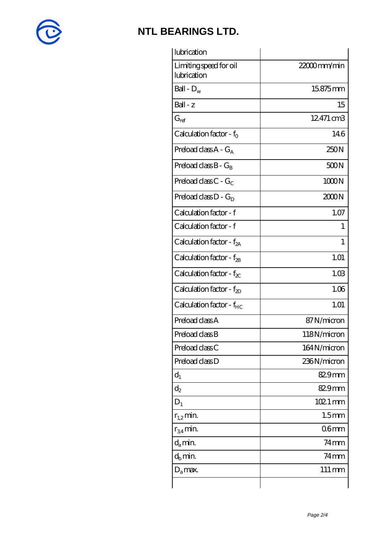

| lubrication                           |                     |
|---------------------------------------|---------------------|
| Limiting speed for oil<br>lubrication | 22000mm/min         |
| Ball - $D_w$                          | 15.875mm            |
| $Ball - z$                            | 15                  |
| $G_{ref}$                             | 12471 cm3           |
| Calculation factor - $f_0$            | 14.6                |
| Preload class $A - G_A$               | 250N                |
| Preload class $B - G_R$               | 500N                |
| Preload class $C - G_C$               | 1000N               |
| Preload class $D - G_D$               | 2000N               |
| Calculation factor - f                | 1.07                |
| Calculation factor - f                | T                   |
| Calculation factor - $f_{2A}$         | 1                   |
| Calculation factor - $f_{2B}$         | 1.01                |
| Calculation factor - $f_{\chi}$       | 1.03                |
| Calculation factor - $f_{2D}$         | 1.06                |
| Calculation factor - f <sub>HC</sub>  | 1.01                |
| Preload class A                       | 87N/micron          |
| Preload class B                       | 118N/micron         |
| Preload class C                       | 164N/micron         |
| Preload class D                       | 236N/micron         |
| $d_1$                                 | $829$ mm            |
| $\mathrm{d}_2$                        | 82.9mm              |
| $D_1$                                 | 102.1 mm            |
| $r_{1,2}$ min.                        | 1.5 <sub>mm</sub>   |
| $r_{34}$ min.                         | 06 <sub>mm</sub>    |
| $d_a$ min.                            | $74$ mm             |
| $d_b$ min.                            | $74$ mm             |
| $D_a$ max.                            | $111 \,\mathrm{mm}$ |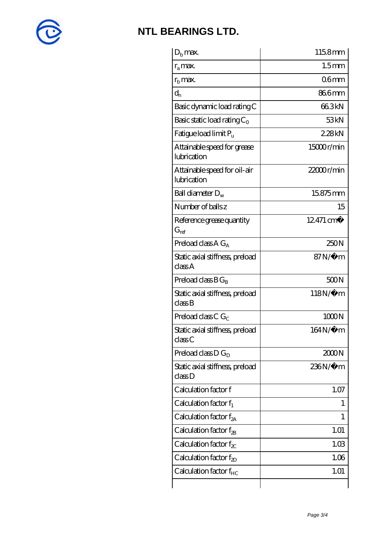

| 1.5 <sub>mm</sub>     |
|-----------------------|
| 06 <sub>mm</sub>      |
| 866mm                 |
| 663kN                 |
| 53 <sub>kN</sub>      |
| 228kN                 |
| 15000r/min            |
| $22000$ r/min         |
| 15.875mm              |
| 15                    |
| $12.471 \text{ cm}^3$ |
| 250N                  |
| $87N/\mu$ m           |
| 500N                  |
| $118N/\mu$ m          |
| 1000N                 |
| 164N/μ m              |
| 2000N                 |
| 236N/µ m              |
| 1.07                  |
| 1                     |
| 1                     |
| 1.01                  |
| 1.03                  |
| 1.06                  |
| 1.01                  |
|                       |